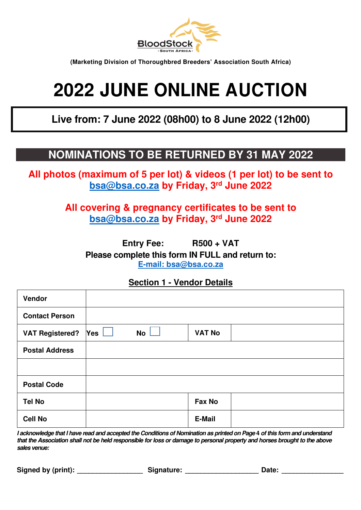

**(Marketing Division of Thoroughbred Breeders' Association South Africa)** 

# **2022 JUNE ONLINE AUCTION**

**Live from: 7 June 2022 (08h00) to 8 June 2022 (12h00)** 

# **NOMINATIONS TO BE RETURNED BY 31 MAY 2022**

**All photos (maximum of 5 per lot) & videos (1 per lot) to be sent to bsa@bsa.co.za by Friday, 3rd June 2022** 

> **All covering & pregnancy certificates to be sent to bsa@bsa.co.za by Friday, 3rd June 2022**

> > **Entry Fee: R500 + VAT**

**Please complete this form IN FULL and return to: E-mail: bsa@bsa.co.za**

# **Section 1 - Vendor Details**

| Vendor                 |     |    |               |  |
|------------------------|-----|----|---------------|--|
| <b>Contact Person</b>  |     |    |               |  |
| <b>VAT Registered?</b> | Yes | No | <b>VAT No</b> |  |
| <b>Postal Address</b>  |     |    |               |  |
|                        |     |    |               |  |
| <b>Postal Code</b>     |     |    |               |  |
| <b>Tel No</b>          |     |    | Fax No        |  |
| <b>Cell No</b>         |     |    | E-Mail        |  |

**I acknowledge that I have read and accepted the Conditions of Nomination as printed on Page 4 of this form and understand that the Association shall not be held responsible for loss or damage to personal property and horses brought to the above sales venue:** 

Signed by (print): The Signature: Equators of Date: Date:  $\Box$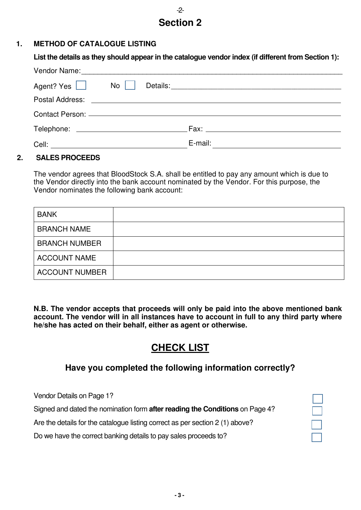# -2- **Section 2**

### **1. METHOD OF CATALOGUE LISTING**

| List the details as they should appear in the catalogue vendor index (if different from Section 1):            |  |  |  |  |  |  |  |
|----------------------------------------------------------------------------------------------------------------|--|--|--|--|--|--|--|
| Vendor Name: 2008 2009 2010 2020 2021 2022 2023 2024 2022 2023 2024 2022 2023 2024 2022 2023 2024 2022 2023 20 |  |  |  |  |  |  |  |
| Agent? Yes $\Box$ No $\Box$                                                                                    |  |  |  |  |  |  |  |
|                                                                                                                |  |  |  |  |  |  |  |
|                                                                                                                |  |  |  |  |  |  |  |
|                                                                                                                |  |  |  |  |  |  |  |
|                                                                                                                |  |  |  |  |  |  |  |

### **2. SALES PROCEEDS**

The vendor agrees that BloodStock S.A. shall be entitled to pay any amount which is due to the Vendor directly into the bank account nominated by the Vendor. For this purpose, the Vendor nominates the following bank account:

| <b>BANK</b>           |  |
|-----------------------|--|
| <b>BRANCH NAME</b>    |  |
| <b>BRANCH NUMBER</b>  |  |
| <b>ACCOUNT NAME</b>   |  |
| <b>ACCOUNT NUMBER</b> |  |

**N.B. The vendor accepts that proceeds will only be paid into the above mentioned bank account. The vendor will in all instances have to account in full to any third party where he/she has acted on their behalf, either as agent or otherwise.** 

# **CHECK LIST**

# **Have you completed the following information correctly?**

Vendor Details on Page 1?

Signed and dated the nomination form **after reading the Conditions** on Page 4?

Are the details for the catalogue listing correct as per section 2 (1) above?

Do we have the correct banking details to pay sales proceeds to?

|  | L, |  |
|--|----|--|
|  |    |  |
|  |    |  |
|  |    |  |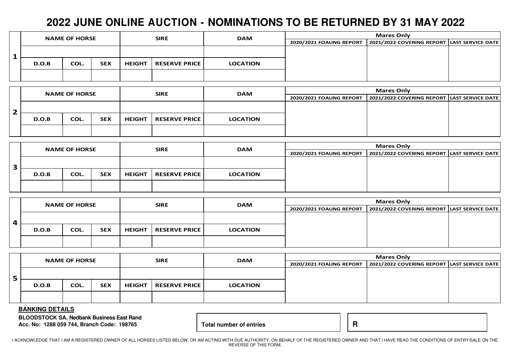# **2022 JUNE ONLINE AUCTION - NOMINATIONS TO BE RETURNED BY 31 MAY 2022**

|  | <b>NAME OF HORSE</b> |      |            | <b>SIRE</b>   |                      | <b>DAM</b>      | <b>Mares Only</b>        |                                               |  |  |
|--|----------------------|------|------------|---------------|----------------------|-----------------|--------------------------|-----------------------------------------------|--|--|
|  |                      |      |            |               |                      |                 | 2020/2021 FOALING REPORT | 2021/2022 COVERING REPORT   LAST SERVICE DATE |  |  |
|  |                      |      |            |               |                      |                 |                          |                                               |  |  |
|  |                      |      |            |               |                      |                 |                          |                                               |  |  |
|  | D.O.B                | COL. | <b>SEX</b> | <b>HEIGHT</b> | <b>RESERVE PRICE</b> | <b>LOCATION</b> |                          |                                               |  |  |
|  |                      |      |            |               |                      |                 |                          |                                               |  |  |
|  |                      |      |            |               |                      |                 |                          |                                               |  |  |

|  | <b>NAME OF HORSE</b> |      |            |               | <b>SIRE</b>            | <b>DAM</b>      | <b>Mares Only</b>        |                                             |  |  |
|--|----------------------|------|------------|---------------|------------------------|-----------------|--------------------------|---------------------------------------------|--|--|
|  |                      |      |            |               |                        |                 | 2020/2021 FOALING REPORT | 2021/2022 COVERING REPORT LAST SERVICE DATE |  |  |
|  |                      |      |            |               |                        |                 |                          |                                             |  |  |
|  |                      |      |            |               |                        |                 |                          |                                             |  |  |
|  | D.O.B                | COL. | <b>SEX</b> | <b>HEIGHT</b> | <b>RESERVE PRICE  </b> | <b>LOCATION</b> |                          |                                             |  |  |
|  |                      |      |            |               |                        |                 |                          |                                             |  |  |
|  |                      |      |            |               |                        |                 |                          |                                             |  |  |

|   | <b>NAME OF HORSE</b> |      |            | <b>SIRE</b>   |                      | <b>DAM</b>      | <b>Mares Only</b>        |                                             |  |  |
|---|----------------------|------|------------|---------------|----------------------|-----------------|--------------------------|---------------------------------------------|--|--|
|   |                      |      |            |               |                      |                 | 2020/2021 FOALING REPORT | 2021/2022 COVERING REPORT LAST SERVICE DATE |  |  |
|   |                      |      |            |               |                      |                 |                          |                                             |  |  |
| Æ |                      |      |            |               |                      |                 |                          |                                             |  |  |
|   | D.O.B                | COL. | <b>SEX</b> | <b>HEIGHT</b> | <b>RESERVE PRICE</b> | <b>LOCATION</b> |                          |                                             |  |  |
|   |                      |      |            |               |                      |                 |                          |                                             |  |  |
|   |                      |      |            |               |                      |                 |                          |                                             |  |  |

|   | <b>NAME OF HORSE</b> |      |            |               | <b>SIRE</b>          | <b>DAM</b>      | <b>Mares Only</b>        |                                               |  |  |
|---|----------------------|------|------------|---------------|----------------------|-----------------|--------------------------|-----------------------------------------------|--|--|
|   |                      |      |            |               |                      |                 | 2020/2021 FOALING REPORT | 2021/2022 COVERING REPORT   LAST SERVICE DATE |  |  |
| 4 |                      |      |            |               |                      |                 |                          |                                               |  |  |
|   | D.O.B                | COL. | <b>SEX</b> | <b>HEIGHT</b> | <b>RESERVE PRICE</b> | <b>LOCATION</b> |                          |                                               |  |  |
|   |                      |      |            |               |                      |                 |                          |                                               |  |  |

|       |      |            | <b>SIRE</b><br><b>NAME OF HORSE</b> |                      | <b>DAM</b>      | <b>Mares Only</b>        |                                             |  |  |
|-------|------|------------|-------------------------------------|----------------------|-----------------|--------------------------|---------------------------------------------|--|--|
|       |      |            |                                     |                      |                 | 2020/2021 FOALING REPORT | 2021/2022 COVERING REPORT LAST SERVICE DATE |  |  |
|       |      |            |                                     |                      |                 |                          |                                             |  |  |
| D.O.B | COL. | <b>SEX</b> | <b>HEIGHT</b>                       | <b>RESERVE PRICE</b> | <b>LOCATION</b> |                          |                                             |  |  |
|       |      |            |                                     |                      |                 |                          |                                             |  |  |

#### **BANKING DETAILS**

**BLOODSTOCK SA, Nedbank Business East Rand Acc. No: 1288 059 744, Branch Code: 198765 Total number of entries R** 

I ACKNOWLEDGE THAT I AM A REGISTERED OWNER OF ALL HORSES LISTED BELOW, OR AM ACTING WITH DUE AUTHORITY, ON BEHALF OF THE REGISTERED OWNER AND THAT I HAVE READ THE CONDITIONS OF ENTRY/SALE ON THE REVERSE OF THIS FORM.